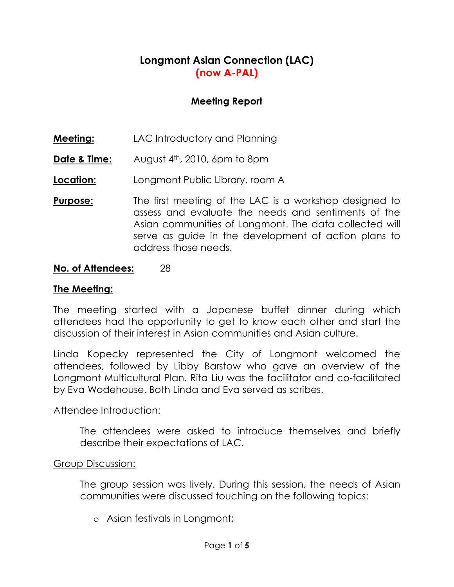# Longmont Asian Connection (LAC) (now A-PAL)

## Meeting Report

- **Meeting:** LAC Introductory and Planning
- **Date & Time:** August  $4<sup>th</sup>$ , 2010, 6pm to 8pm
- **Location:** Longmont Public Library, room A
- **Purpose:** The first meeting of the LAC is a workshop designed to assess and evaluate the needs and sentiments of the Asian communities of Longmont. The data collected will serve as guide in the development of action plans to address those needs.

### No. of Attendees: 28

#### The Meeting:

The meeting started with a Japanese buffet dinner during which attendees had the opportunity to get to know each other and start the discussion of their interest in Asian communities and Asian culture.

Linda Kopecky represented the City of Longmont welcomed the attendees, followed by Libby Barstow who gave an overview of the Longmont Multicultural Plan. Rita Liu was the facilitator and co-facilitated by Eva Wodehouse. Both Linda and Eva served as scribes.

#### Attendee Introduction:

The attendees were asked to introduce themselves and briefly describe their expectations of LAC.

#### Group Discussion:

The group session was lively. During this session, the needs of Asian communities were discussed touching on the following topics:

o Asian festivals in Longmont;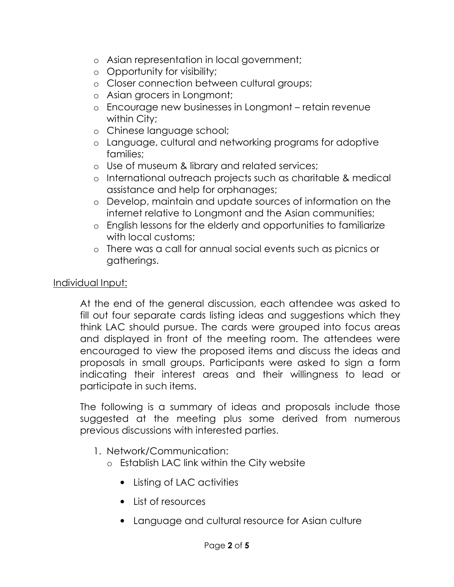- o Asian representation in local government;
- o Opportunity for visibility;
- o Closer connection between cultural groups;
- o Asian grocers in Longmont;
- o Encourage new businesses in Longmont retain revenue within City;
- o Chinese language school;
- o Language, cultural and networking programs for adoptive families;
- o Use of museum & library and related services;
- o International outreach projects such as charitable & medical assistance and help for orphanages;
- o Develop, maintain and update sources of information on the internet relative to Longmont and the Asian communities;
- o English lessons for the elderly and opportunities to familiarize with local customs;
- o There was a call for annual social events such as picnics or gatherings.

### Individual Input:

At the end of the general discussion, each attendee was asked to fill out four separate cards listing ideas and suggestions which they think LAC should pursue. The cards were grouped into focus areas and displayed in front of the meeting room. The attendees were encouraged to view the proposed items and discuss the ideas and proposals in small groups. Participants were asked to sign a form indicating their interest areas and their willingness to lead or participate in such items.

The following is a summary of ideas and proposals include those suggested at the meeting plus some derived from numerous previous discussions with interested parties.

- 1. Network/Communication:
	- o Establish LAC link within the City website
		- Listing of LAC activities
		- List of resources
		- Language and cultural resource for Asian culture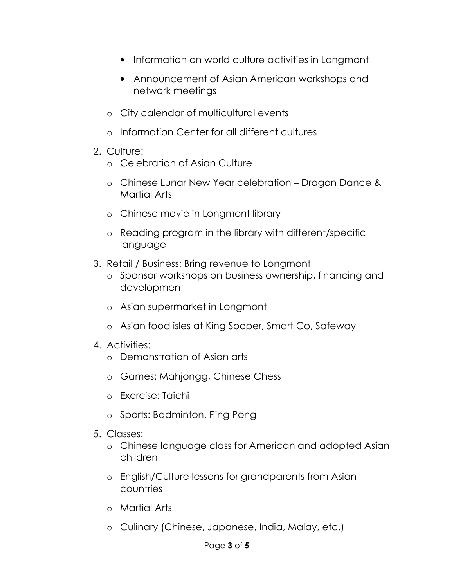- Information on world culture activities in Longmont
- Announcement of Asian American workshops and network meetings
- o City calendar of multicultural events
- o Information Center for all different cultures
- 2. Culture:
	- o Celebration of Asian Culture
	- o Chinese Lunar New Year celebration Dragon Dance & Martial Arts
	- o Chinese movie in Longmont library
	- o Reading program in the library with different/specific language
- 3. Retail / Business: Bring revenue to Longmont
	- o Sponsor workshops on business ownership, financing and development
	- o Asian supermarket in Longmont
	- o Asian food isles at King Sooper, Smart Co, Safeway
- 4. Activities:
	- o Demonstration of Asian arts
	- o Games: Mahjongg, Chinese Chess
	- o Exercise: Taichi
	- o Sports: Badminton, Ping Pong
- 5. Classes:
	- o Chinese language class for American and adopted Asian children
	- o English/Culture lessons for grandparents from Asian countries
	- o Martial Arts
	- o Culinary (Chinese, Japanese, India, Malay, etc.)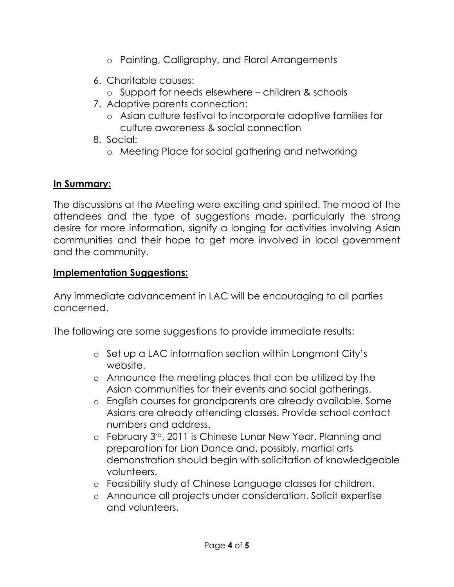- o Painting, Calligraphy, and Floral Arrangements
- 6. Charitable causes:
	- o Support for needs elsewhere children & schools
- 7. Adoptive parents connection:
	- o Asian culture festival to incorporate adoptive families for culture awareness & social connection
- 8. Social:
	- o Meeting Place for social gathering and networking

## In Summary:

The discussions at the Meeting were exciting and spirited. The mood of the attendees and the type of suggestions made, particularly the strong desire for more information, signify a longing for activities involving Asian communities and their hope to get more involved in local government and the community.

### Implementation Suggestions:

Any immediate advancement in LAC will be encouraging to all parties concerned.

The following are some suggestions to provide immediate results:

- o Set up a LAC information section within Longmont City's website.
- o Announce the meeting places that can be utilized by the Asian communities for their events and social gatherings.
- o English courses for grandparents are already available. Some Asians are already attending classes. Provide school contact numbers and address.
- o February 3rd, 2011 is Chinese Lunar New Year. Planning and preparation for Lion Dance and, possibly, martial arts demonstration should begin with solicitation of knowledgeable volunteers.
- o Feasibility study of Chinese Language classes for children.
- o Announce all projects under consideration. Solicit expertise and volunteers.